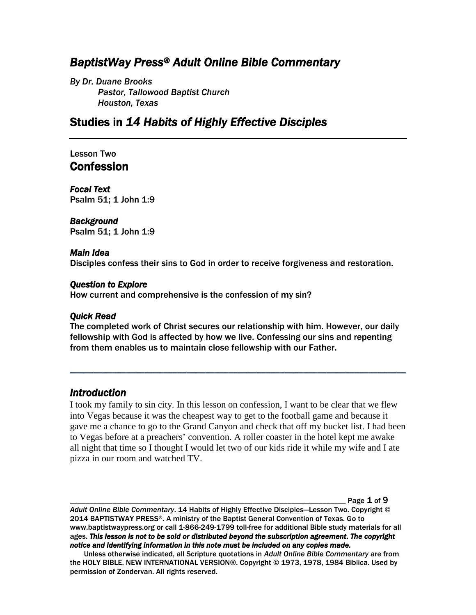# *BaptistWay Press® Adult Online Bible Commentary*

*By Dr. Duane Brooks Pastor, Tallowood Baptist Church Houston, Texas*

# Studies in *14 Habits of Highly Effective Disciples*

## Lesson Two **Confession**

*Focal Text*  Psalm 51; 1 John 1:9

### *Background*

Psalm 51; 1 John 1:9

### *Main Idea*

Disciples confess their sins to God in order to receive forgiveness and restoration.

#### *Question to Explore*

How current and comprehensive is the confession of my sin?

### *Quick Read*

The completed work of Christ secures our relationship with him. However, our daily fellowship with God is affected by how we live. Confessing our sins and repenting from them enables us to maintain close fellowship with our Father.

*\_\_\_\_\_\_\_\_\_\_\_\_\_\_\_\_\_\_\_\_\_\_\_\_\_\_\_\_\_\_\_\_\_\_\_\_\_\_\_\_\_\_\_\_\_\_\_\_\_\_\_\_\_\_\_\_\_\_\_\_\_\_\_\_\_\_\_\_\_\_\_\_*

## *Introduction*

I took my family to sin city. In this lesson on confession, I want to be clear that we flew into Vegas because it was the cheapest way to get to the football game and because it gave me a chance to go to the Grand Canyon and check that off my bucket list. I had been to Vegas before at a preachers' convention. A roller coaster in the hotel kept me awake all night that time so I thought I would let two of our kids ride it while my wife and I ate pizza in our room and watched TV.

Page  $1$  of  $9$ 

*Adult Online Bible Commentary*. 14 Habits of Highly Effective Disciples—Lesson Two. Copyright © 2014 BAPTISTWAY PRESS®. A ministry of the Baptist General Convention of Texas. Go to www.baptistwaypress.org or call 1-866-249-1799 toll-free for additional Bible study materials for all ages. *This lesson is not to be sold or distributed beyond the subscription agreement. The copyright notice and identifying information in this note must be included on any copies made.* 

Unless otherwise indicated, all Scripture quotations in *Adult Online Bible Commentary* are from the HOLY BIBLE, NEW INTERNATIONAL VERSION®. Copyright © 1973, 1978, 1984 Biblica. Used by permission of Zondervan. All rights reserved.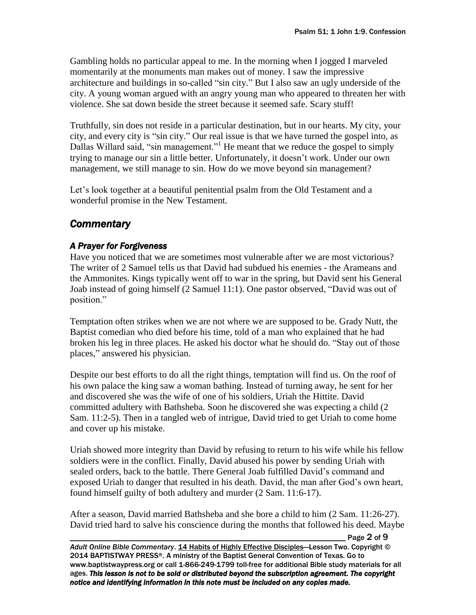Gambling holds no particular appeal to me. In the morning when I jogged I marveled momentarily at the monuments man makes out of money. I saw the impressive architecture and buildings in so-called "sin city." But I also saw an ugly underside of the city. A young woman argued with an angry young man who appeared to threaten her with violence. She sat down beside the street because it seemed safe. Scary stuff!

Truthfully, sin does not reside in a particular destination, but in our hearts. My city, your city, and every city is "sin city." Our real issue is that we have turned the gospel into, as Dallas Willard said, "sin management."<sup>1</sup> He meant that we reduce the gospel to simply trying to manage our sin a little better. Unfortunately, it doesn't work. Under our own management, we still manage to sin. How do we move beyond sin management?

Let's look together at a beautiful penitential psalm from the Old Testament and a wonderful promise in the New Testament.

# *Commentary*

## *A Prayer for Forgiveness*

Have you noticed that we are sometimes most vulnerable after we are most victorious? The writer of 2 Samuel tells us that David had subdued his enemies - the Arameans and the Ammonites. Kings typically went off to war in the spring, but David sent his General Joab instead of going himself (2 Samuel 11:1). One pastor observed, "David was out of position."

Temptation often strikes when we are not where we are supposed to be. Grady Nutt, the Baptist comedian who died before his time, told of a man who explained that he had broken his leg in three places. He asked his doctor what he should do. "Stay out of those places," answered his physician.

Despite our best efforts to do all the right things, temptation will find us. On the roof of his own palace the king saw a woman bathing. Instead of turning away, he sent for her and discovered she was the wife of one of his soldiers, Uriah the Hittite. David committed adultery with Bathsheba. Soon he discovered she was expecting a child (2 Sam. 11:2-5). Then in a tangled web of intrigue, David tried to get Uriah to come home and cover up his mistake.

Uriah showed more integrity than David by refusing to return to his wife while his fellow soldiers were in the conflict. Finally, David abused his power by sending Uriah with sealed orders, back to the battle. There General Joab fulfilled David's command and exposed Uriah to danger that resulted in his death. David, the man after God's own heart, found himself guilty of both adultery and murder (2 Sam. 11:6-17).

After a season, David married Bathsheba and she bore a child to him (2 Sam. 11:26-27). David tried hard to salve his conscience during the months that followed his deed. Maybe

\_\_\_\_\_\_\_\_\_\_\_\_\_\_\_\_\_\_\_\_\_\_\_\_\_\_\_\_\_\_\_\_\_\_\_\_\_\_\_\_\_\_\_\_\_\_\_\_\_\_\_\_\_\_\_\_\_\_\_\_\_\_\_\_\_\_\_\_\_\_\_ Page 2 of 9

Adult Online Bible Commentary. 14 Habits of Highly Effective Disciples-Lesson Two. Copyright © 2014 BAPTISTWAY PRESS®. A ministry of the Baptist General Convention of Texas. Go to www.baptistwaypress.org or call 1-866-249-1799 toll-free for additional Bible study materials for all ages. *This lesson is not to be sold or distributed beyond the subscription agreement. The copyright notice and identifying information in this note must be included on any copies made.*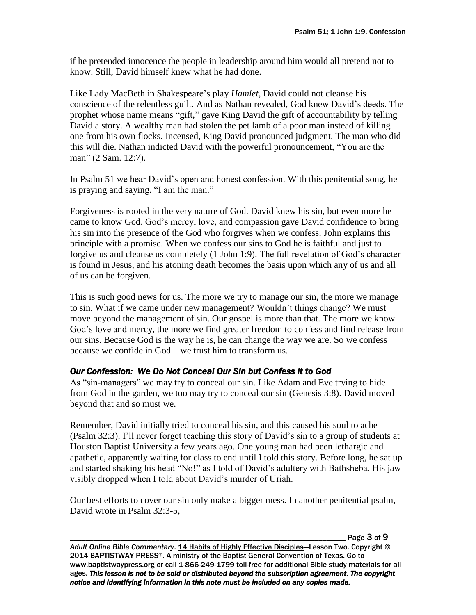if he pretended innocence the people in leadership around him would all pretend not to know. Still, David himself knew what he had done.

Like Lady MacBeth in Shakespeare's play *Hamlet*, David could not cleanse his conscience of the relentless guilt. And as Nathan revealed, God knew David's deeds. The prophet whose name means "gift," gave King David the gift of accountability by telling David a story. A wealthy man had stolen the pet lamb of a poor man instead of killing one from his own flocks. Incensed, King David pronounced judgment. The man who did this will die. Nathan indicted David with the powerful pronouncement, "You are the man" (2 Sam. 12:7).

In Psalm 51 we hear David's open and honest confession. With this penitential song, he is praying and saying, "I am the man."

Forgiveness is rooted in the very nature of God. David knew his sin, but even more he came to know God. God's mercy, love, and compassion gave David confidence to bring his sin into the presence of the God who forgives when we confess. John explains this principle with a promise. When we confess our sins to God he is faithful and just to forgive us and cleanse us completely (1 John 1:9). The full revelation of God's character is found in Jesus, and his atoning death becomes the basis upon which any of us and all of us can be forgiven.

This is such good news for us. The more we try to manage our sin, the more we manage to sin. What if we came under new management? Wouldn't things change? We must move beyond the management of sin. Our gospel is more than that. The more we know God's love and mercy, the more we find greater freedom to confess and find release from our sins. Because God is the way he is, he can change the way we are. So we confess because we confide in God – we trust him to transform us.

## *Our Confession: We Do Not Conceal Our Sin but Confess it to God*

As "sin-managers" we may try to conceal our sin. Like Adam and Eve trying to hide from God in the garden, we too may try to conceal our sin (Genesis 3:8). David moved beyond that and so must we.

Remember, David initially tried to conceal his sin, and this caused his soul to ache (Psalm 32:3). I'll never forget teaching this story of David's sin to a group of students at Houston Baptist University a few years ago. One young man had been lethargic and apathetic, apparently waiting for class to end until I told this story. Before long, he sat up and started shaking his head "No!" as I told of David's adultery with Bathsheba. His jaw visibly dropped when I told about David's murder of Uriah.

Our best efforts to cover our sin only make a bigger mess. In another penitential psalm, David wrote in Psalm 32:3-5,

Page 3 of 9 Adult Online Bible Commentary. 14 Habits of Highly Effective Disciples-Lesson Two. Copyright © 2014 BAPTISTWAY PRESS®. A ministry of the Baptist General Convention of Texas. Go to www.baptistwaypress.org or call 1-866-249-1799 toll-free for additional Bible study materials for all ages. *This lesson is not to be sold or distributed beyond the subscription agreement. The copyright notice and identifying information in this note must be included on any copies made.*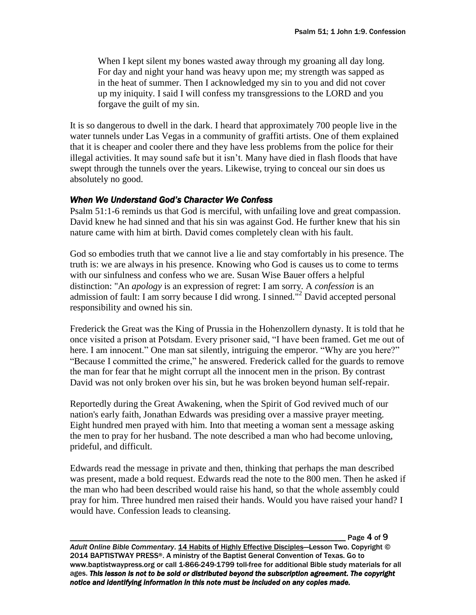When I kept silent my bones wasted away through my groaning all day long. For day and night your hand was heavy upon me; my strength was sapped as in the heat of summer. Then I acknowledged my sin to you and did not cover up my iniquity. I said I will confess my transgressions to the LORD and you forgave the guilt of my sin.

It is so dangerous to dwell in the dark. I heard that approximately 700 people live in the water tunnels under Las Vegas in a community of graffiti artists. One of them explained that it is cheaper and cooler there and they have less problems from the police for their illegal activities. It may sound safe but it isn't. Many have died in flash floods that have swept through the tunnels over the years. Likewise, trying to conceal our sin does us absolutely no good.

## *When We Understand God's Character We Confess*

Psalm 51:1-6 reminds us that God is merciful, with unfailing love and great compassion. David knew he had sinned and that his sin was against God. He further knew that his sin nature came with him at birth. David comes completely clean with his fault.

God so embodies truth that we cannot live a lie and stay comfortably in his presence. The truth is: we are always in his presence. Knowing who God is causes us to come to terms with our sinfulness and confess who we are. Susan Wise Bauer offers a helpful distinction: "An *apology* is an expression of regret: I am sorry. A *confession* is an admission of fault: I am sorry because I did wrong. I sinned."<sup>2</sup> David accepted personal responsibility and owned his sin.

Frederick the Great was the King of Prussia in the Hohenzollern dynasty. It is told that he once visited a prison at Potsdam. Every prisoner said, "I have been framed. Get me out of here. I am innocent." One man sat silently, intriguing the emperor. "Why are you here?" "Because I committed the crime," he answered. Frederick called for the guards to remove the man for fear that he might corrupt all the innocent men in the prison. By contrast David was not only broken over his sin, but he was broken beyond human self-repair.

Reportedly during the Great Awakening, when the Spirit of God revived much of our nation's early faith, Jonathan Edwards was presiding over a massive prayer meeting. Eight hundred men prayed with him. Into that meeting a woman sent a message asking the men to pray for her husband. The note described a man who had become unloving, prideful, and difficult.

Edwards read the message in private and then, thinking that perhaps the man described was present, made a bold request. Edwards read the note to the 800 men. Then he asked if the man who had been described would raise his hand, so that the whole assembly could pray for him. Three hundred men raised their hands. Would you have raised your hand? I would have. Confession leads to cleansing.

Page  $4$  of  $9$ 

*Adult Online Bible Commentary*. 14 Habits of Highly Effective Disciples—Lesson Two. Copyright © 2014 BAPTISTWAY PRESS®. A ministry of the Baptist General Convention of Texas. Go to www.baptistwaypress.org or call 1-866-249-1799 toll-free for additional Bible study materials for all ages. *This lesson is not to be sold or distributed beyond the subscription agreement. The copyright notice and identifying information in this note must be included on any copies made.*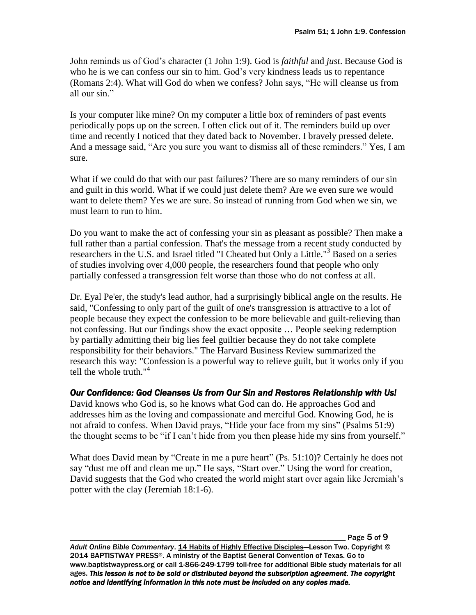John reminds us of God's character (1 John 1:9). God is *faithful* and *just*. Because God is who he is we can confess our sin to him. God's very kindness leads us to repentance (Romans 2:4). What will God do when we confess? John says, "He will cleanse us from all our sin."

Is your computer like mine? On my computer a little box of reminders of past events periodically pops up on the screen. I often click out of it. The reminders build up over time and recently I noticed that they dated back to November. I bravely pressed delete. And a message said, "Are you sure you want to dismiss all of these reminders." Yes, I am sure.

What if we could do that with our past failures? There are so many reminders of our sin and guilt in this world. What if we could just delete them? Are we even sure we would want to delete them? Yes we are sure. So instead of running from God when we sin, we must learn to run to him.

Do you want to make the act of confessing your sin as pleasant as possible? Then make a full rather than a partial confession. That's the message from a recent study conducted by researchers in the U.S. and Israel titled "I Cheated but Only a Little."<sup>3</sup> Based on a series of studies involving over 4,000 people, the researchers found that people who only partially confessed a transgression felt worse than those who do not confess at all.

Dr. Eyal Pe'er, the study's lead author, had a surprisingly biblical angle on the results. He said, "Confessing to only part of the guilt of one's transgression is attractive to a lot of people because they expect the confession to be more believable and guilt-relieving than not confessing. But our findings show the exact opposite … People seeking redemption by partially admitting their big lies feel guiltier because they do not take complete responsibility for their behaviors." The Harvard Business Review summarized the research this way: "Confession is a powerful way to relieve guilt, but it works only if you tell the whole truth."<sup>4</sup>

## *Our Confidence: God Cleanses Us from Our Sin and Restores Relationship with Us!*

David knows who God is, so he knows what God can do. He approaches God and addresses him as the loving and compassionate and merciful God. Knowing God, he is not afraid to confess. When David prays, "Hide your face from my sins" (Psalms 51:9) the thought seems to be "if I can't hide from you then please hide my sins from yourself."

What does David mean by "Create in me a pure heart" (Ps. 51:10)? Certainly he does not say "dust me off and clean me up." He says, "Start over." Using the word for creation, David suggests that the God who created the world might start over again like Jeremiah's potter with the clay (Jeremiah 18:1-6).

\_\_\_\_\_\_\_\_\_\_\_\_\_\_\_\_\_\_\_\_\_\_\_\_\_\_\_\_\_\_\_\_\_\_\_\_\_\_\_\_\_\_\_\_\_\_\_\_\_\_\_\_\_\_\_\_\_\_\_\_\_\_\_\_\_\_\_\_\_\_\_ Page 5 of 9

*Adult Online Bible Commentary*. 14 Habits of Highly Effective Disciples—Lesson Two. Copyright © 2014 BAPTISTWAY PRESS®. A ministry of the Baptist General Convention of Texas. Go to www.baptistwaypress.org or call 1-866-249-1799 toll-free for additional Bible study materials for all ages. *This lesson is not to be sold or distributed beyond the subscription agreement. The copyright notice and identifying information in this note must be included on any copies made.*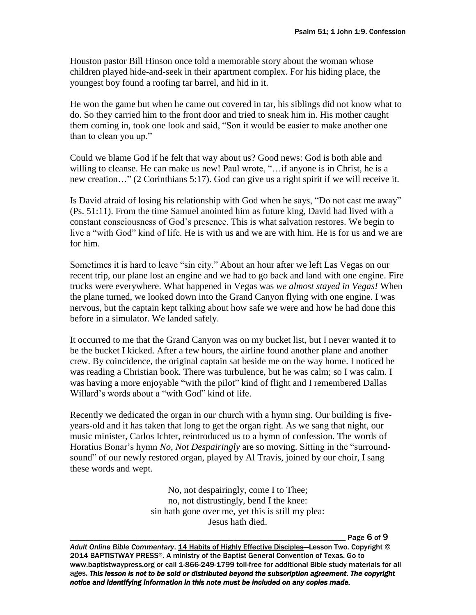Houston pastor Bill Hinson once told a memorable story about the woman whose children played hide-and-seek in their apartment complex. For his hiding place, the youngest boy found a roofing tar barrel, and hid in it.

He won the game but when he came out covered in tar, his siblings did not know what to do. So they carried him to the front door and tried to sneak him in. His mother caught them coming in, took one look and said, "Son it would be easier to make another one than to clean you up."

Could we blame God if he felt that way about us? Good news: God is both able and willing to cleanse. He can make us new! Paul wrote, "...if anyone is in Christ, he is a new creation…" (2 Corinthians 5:17). God can give us a right spirit if we will receive it.

Is David afraid of losing his relationship with God when he says, "Do not cast me away" (Ps. 51:11). From the time Samuel anointed him as future king, David had lived with a constant consciousness of God's presence. This is what salvation restores. We begin to live a "with God" kind of life. He is with us and we are with him. He is for us and we are for him.

Sometimes it is hard to leave "sin city." About an hour after we left Las Vegas on our recent trip, our plane lost an engine and we had to go back and land with one engine. Fire trucks were everywhere. What happened in Vegas was *we almost stayed in Vegas!* When the plane turned, we looked down into the Grand Canyon flying with one engine. I was nervous, but the captain kept talking about how safe we were and how he had done this before in a simulator. We landed safely.

It occurred to me that the Grand Canyon was on my bucket list, but I never wanted it to be the bucket I kicked. After a few hours, the airline found another plane and another crew. By coincidence, the original captain sat beside me on the way home. I noticed he was reading a Christian book. There was turbulence, but he was calm; so I was calm. I was having a more enjoyable "with the pilot" kind of flight and I remembered Dallas Willard's words about a "with God" kind of life.

Recently we dedicated the organ in our church with a hymn sing. Our building is fiveyears-old and it has taken that long to get the organ right. As we sang that night, our music minister, Carlos Ichter, reintroduced us to a hymn of confession. The words of Horatius Bonar's hymn *No, Not Despairingly* are so moving. Sitting in the "surroundsound" of our newly restored organ, played by Al Travis, joined by our choir, I sang these words and wept.

> No, not despairingly, come I to Thee; no, not distrustingly, bend I the knee: sin hath gone over me, yet this is still my plea: Jesus hath died.

> > Page 6 of 9

*Adult Online Bible Commentary*. 14 Habits of Highly Effective Disciples—Lesson Two. Copyright © 2014 BAPTISTWAY PRESS®. A ministry of the Baptist General Convention of Texas. Go to www.baptistwaypress.org or call 1-866-249-1799 toll-free for additional Bible study materials for all ages. *This lesson is not to be sold or distributed beyond the subscription agreement. The copyright notice and identifying information in this note must be included on any copies made.*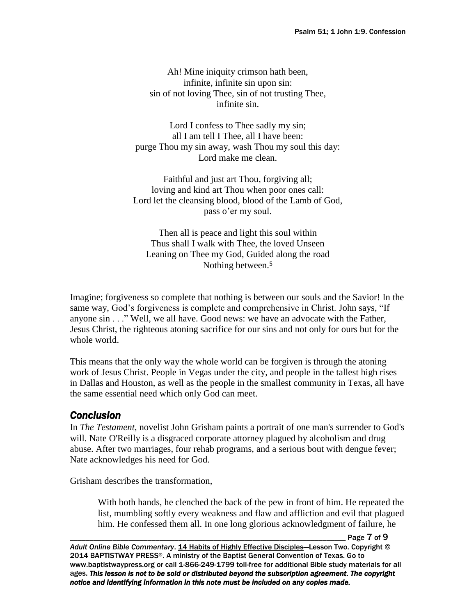Ah! Mine iniquity crimson hath been, infinite, infinite sin upon sin: sin of not loving Thee, sin of not trusting Thee, infinite sin.

Lord I confess to Thee sadly my sin; all I am tell I Thee, all I have been: purge Thou my sin away, wash Thou my soul this day: Lord make me clean.

Faithful and just art Thou, forgiving all; loving and kind art Thou when poor ones call: Lord let the cleansing blood, blood of the Lamb of God, pass o'er my soul.

Then all is peace and light this soul within Thus shall I walk with Thee, the loved Unseen Leaning on Thee my God, Guided along the road Nothing between.<sup>5</sup>

Imagine; forgiveness so complete that nothing is between our souls and the Savior! In the same way, God's forgiveness is complete and comprehensive in Christ. John says, "If anyone sin . . ." Well, we all have. Good news: we have an advocate with the Father, Jesus Christ, the righteous atoning sacrifice for our sins and not only for ours but for the whole world.

This means that the only way the whole world can be forgiven is through the atoning work of Jesus Christ. People in Vegas under the city, and people in the tallest high rises in Dallas and Houston, as well as the people in the smallest community in Texas, all have the same essential need which only God can meet.

# *Conclusion*

In *The Testament*, novelist John Grisham paints a portrait of one man's surrender to God's will. Nate O'Reilly is a disgraced corporate attorney plagued by alcoholism and drug abuse. After two marriages, four rehab programs, and a serious bout with dengue fever; Nate acknowledges his need for God.

Grisham describes the transformation,

With both hands, he clenched the back of the pew in front of him. He repeated the list, mumbling softly every weakness and flaw and affliction and evil that plagued him. He confessed them all. In one long glorious acknowledgment of failure, he

Page 7 of 9

Adult Online Bible Commentary. 14 Habits of Highly Effective Disciples-Lesson Two. Copyright © 2014 BAPTISTWAY PRESS®. A ministry of the Baptist General Convention of Texas. Go to www.baptistwaypress.org or call 1-866-249-1799 toll-free for additional Bible study materials for all ages. *This lesson is not to be sold or distributed beyond the subscription agreement. The copyright notice and identifying information in this note must be included on any copies made.*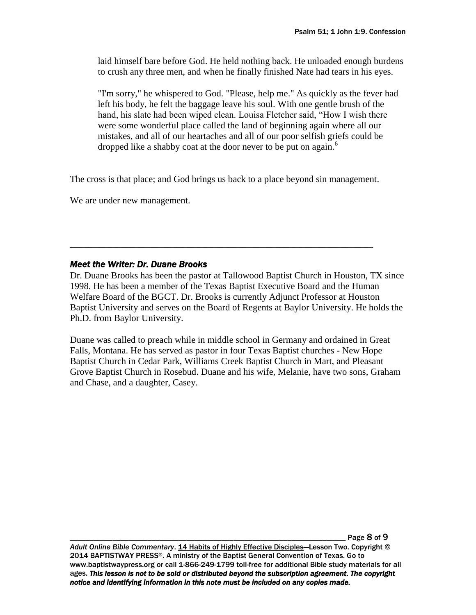laid himself bare before God. He held nothing back. He unloaded enough burdens to crush any three men, and when he finally finished Nate had tears in his eyes.

"I'm sorry," he whispered to God. "Please, help me." As quickly as the fever had left his body, he felt the baggage leave his soul. With one gentle brush of the hand, his slate had been wiped clean. Louisa Fletcher said, "How I wish there were some wonderful place called the land of beginning again where all our mistakes, and all of our heartaches and all of our poor selfish griefs could be dropped like a shabby coat at the door never to be put on again.<sup>6</sup>

The cross is that place; and God brings us back to a place beyond sin management.

\_\_\_\_\_\_\_\_\_\_\_\_\_\_\_\_\_\_\_\_\_\_\_\_\_\_\_\_\_\_\_\_\_\_\_\_\_\_\_\_\_\_\_\_\_\_\_\_\_\_\_\_\_\_\_\_\_\_\_\_\_\_\_\_\_

We are under new management.

### *Meet the Writer: Dr. Duane Brooks*

Dr. Duane Brooks has been the pastor at Tallowood Baptist Church in Houston, TX since 1998. He has been a member of the Texas Baptist Executive Board and the Human Welfare Board of the BGCT. Dr. Brooks is currently Adjunct Professor at Houston Baptist University and serves on the Board of Regents at Baylor University. He holds the Ph.D. from Baylor University.

Duane was called to preach while in middle school in Germany and ordained in Great Falls, Montana. He has served as pastor in four Texas Baptist churches - New Hope Baptist Church in Cedar Park, Williams Creek Baptist Church in Mart, and Pleasant Grove Baptist Church in Rosebud. Duane and his wife, Melanie, have two sons, Graham and Chase, and a daughter, Casey.

Page 8 of 9

*Adult Online Bible Commentary*. 14 Habits of Highly Effective Disciples—Lesson Two. Copyright © 2014 BAPTISTWAY PRESS®. A ministry of the Baptist General Convention of Texas. Go to www.baptistwaypress.org or call 1-866-249-1799 toll-free for additional Bible study materials for all ages. *This lesson is not to be sold or distributed beyond the subscription agreement. The copyright notice and identifying information in this note must be included on any copies made.*